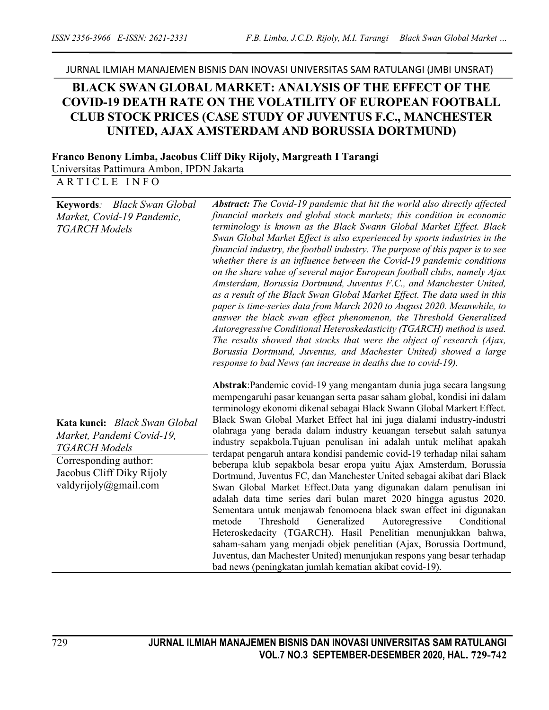JURNAL ILMIAH MANAJEMEN BISNIS DAN INOVASI UNIVERSITAS SAM RATULANGI (JMBI UNSRAT)

## **BLACK SWAN GLOBAL MARKET: ANALYSIS OF THE EFFECT OF THE COVID-19 DEATH RATE ON THE VOLATILITY OF EUROPEAN FOOTBALL CLUB STOCK PRICES (CASE STUDY OF JUVENTUS F.C., MANCHESTER UNITED, AJAX AMSTERDAM AND BORUSSIA DORTMUND)**

**Franco Benony Limba, Jacobus Cliff Diky Rijoly, Margreath I Tarangi** Universitas Pattimura Ambon, IPDN Jakarta

ARTICLE INFO

| Keywords: Black Swan Global<br>Market, Covid-19 Pandemic,<br><b>TGARCH Models</b>                                                                                 | Abstract: The Covid-19 pandemic that hit the world also directly affected<br>financial markets and global stock markets; this condition in economic<br>terminology is known as the Black Swann Global Market Effect. Black<br>Swan Global Market Effect is also experienced by sports industries in the<br>financial industry, the football industry. The purpose of this paper is to see<br>whether there is an influence between the Covid-19 pandemic conditions<br>on the share value of several major European football clubs, namely Ajax<br>Amsterdam, Borussia Dortmund, Juventus F.C., and Manchester United,<br>as a result of the Black Swan Global Market Effect. The data used in this<br>paper is time-series data from March 2020 to August 2020. Meanwhile, to<br>answer the black swan effect phenomenon, the Threshold Generalized<br>Autoregressive Conditional Heteroskedasticity (TGARCH) method is used.<br>The results showed that stocks that were the object of research (Ajax,                                                                                                                                                                                                                                                                                                                                                                                 |
|-------------------------------------------------------------------------------------------------------------------------------------------------------------------|------------------------------------------------------------------------------------------------------------------------------------------------------------------------------------------------------------------------------------------------------------------------------------------------------------------------------------------------------------------------------------------------------------------------------------------------------------------------------------------------------------------------------------------------------------------------------------------------------------------------------------------------------------------------------------------------------------------------------------------------------------------------------------------------------------------------------------------------------------------------------------------------------------------------------------------------------------------------------------------------------------------------------------------------------------------------------------------------------------------------------------------------------------------------------------------------------------------------------------------------------------------------------------------------------------------------------------------------------------------------------------------|
| Kata kunci: Black Swan Global<br>Market, Pandemi Covid-19,<br><b>TGARCH Models</b><br>Corresponding author:<br>Jacobus Cliff Diky Rijoly<br>valdyrijoly@gmail.com | Borussia Dortmund, Juventus, and Machester United) showed a large<br>response to bad News (an increase in deaths due to covid-19).<br>Abstrak: Pandemic covid-19 yang mengantam dunia juga secara langsung<br>mempengaruhi pasar keuangan serta pasar saham global, kondisi ini dalam<br>terminology ekonomi dikenal sebagai Black Swann Global Markert Effect.<br>Black Swan Global Market Effect hal ini juga dialami industry-industri<br>olahraga yang berada dalam industry keuangan tersebut salah satunya<br>industry sepakbola. Tujuan penulisan ini adalah untuk melihat apakah<br>terdapat pengaruh antara kondisi pandemic covid-19 terhadap nilai saham<br>beberapa klub sepakbola besar eropa yaitu Ajax Amsterdam, Borussia<br>Dortmund, Juventus FC, dan Manchester United sebagai akibat dari Black<br>Swan Global Market Effect.Data yang digunakan dalam penulisan ini<br>adalah data time series dari bulan maret 2020 hingga agustus 2020.<br>Sementara untuk menjawab fenomoena black swan effect ini digunakan<br>metode<br>Threshold<br>Generalized<br>Autoregressive<br>Conditional<br>Heteroskedacity (TGARCH). Hasil Penelitian menunjukkan bahwa,<br>saham-saham yang menjadi objek penelitian (Ajax, Borussia Dortmund,<br>Juventus, dan Machester United) menunjukan respons yang besar terhadap<br>bad news (peningkatan jumlah kematian akibat covid-19). |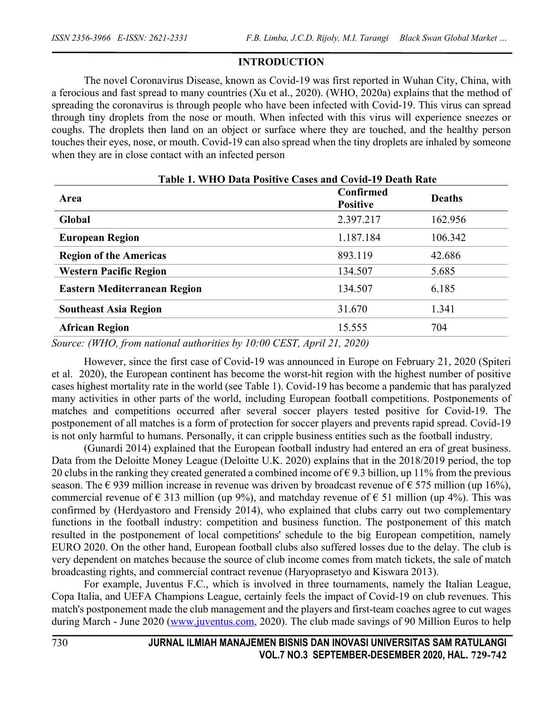## **INTRODUCTION**

The novel Coronavirus Disease, known as Covid-19 was first reported in Wuhan City, China, with a ferocious and fast spread to many countries (Xu et al., 2020). (WHO, 2020a) explains that the method of spreading the coronavirus is through people who have been infected with Covid-19. This virus can spread through tiny droplets from the nose or mouth. When infected with this virus will experience sneezes or coughs. The droplets then land on an object or surface where they are touched, and the healthy person touches their eyes, nose, or mouth. Covid-19 can also spread when the tiny droplets are inhaled by someone when they are in close contact with an infected person

| Table 1. WHO Data Positive Cases and Covid-19 Death Rate |                              |               |  |
|----------------------------------------------------------|------------------------------|---------------|--|
| Area                                                     | Confirmed<br><b>Positive</b> | <b>Deaths</b> |  |
| Global                                                   | 2.397.217                    | 162.956       |  |
| <b>European Region</b>                                   | 1.187.184                    | 106.342       |  |
| <b>Region of the Americas</b>                            | 893.119                      | 42.686        |  |
| <b>Western Pacific Region</b>                            | 134.507                      | 5.685         |  |
| <b>Eastern Mediterranean Region</b>                      | 134.507                      | 6.185         |  |
| <b>Southeast Asia Region</b>                             | 31.670                       | 1.341         |  |
| <b>African Region</b>                                    | 15.555                       | 704           |  |

*Source: (WHO, from national authorities by 10:00 CEST, April 21, 2020)*

However, since the first case of Covid-19 was announced in Europe on February 21, 2020 (Spiteri et al. 2020), the European continent has become the worst-hit region with the highest number of positive cases highest mortality rate in the world (see Table 1). Covid-19 has become a pandemic that has paralyzed many activities in other parts of the world, including European football competitions. Postponements of matches and competitions occurred after several soccer players tested positive for Covid-19. The postponement of all matches is a form of protection for soccer players and prevents rapid spread. Covid-19 is not only harmful to humans. Personally, it can cripple business entities such as the football industry.

(Gunardi 2014) explained that the European football industry had entered an era of great business. Data from the Deloitte Money League (Deloitte U.K. 2020) explains that in the 2018/2019 period, the top 20 clubs in the ranking they created generated a combined income of  $\epsilon$  9.3 billion, up 11% from the previous season. The  $\epsilon$  939 million increase in revenue was driven by broadcast revenue of  $\epsilon$  575 million (up 16%), commercial revenue of  $\epsilon$  313 million (up 9%), and matchday revenue of  $\epsilon$  51 million (up 4%). This was confirmed by (Herdyastoro and Frensidy 2014), who explained that clubs carry out two complementary functions in the football industry: competition and business function. The postponement of this match resulted in the postponement of local competitions' schedule to the big European competition, namely EURO 2020. On the other hand, European football clubs also suffered losses due to the delay. The club is very dependent on matches because the source of club income comes from match tickets, the sale of match broadcasting rights, and commercial contract revenue (Haryoprasetyo and Kiswara 2013).

For example, Juventus F.C., which is involved in three tournaments, namely the Italian League, Copa Italia, and UEFA Champions League, certainly feels the impact of Covid-19 on club revenues. This match's postponement made the club management and the players and first-team coaches agree to cut wages during March - June 2020 (www.juventus.com, 2020). The club made savings of 90 Million Euros to help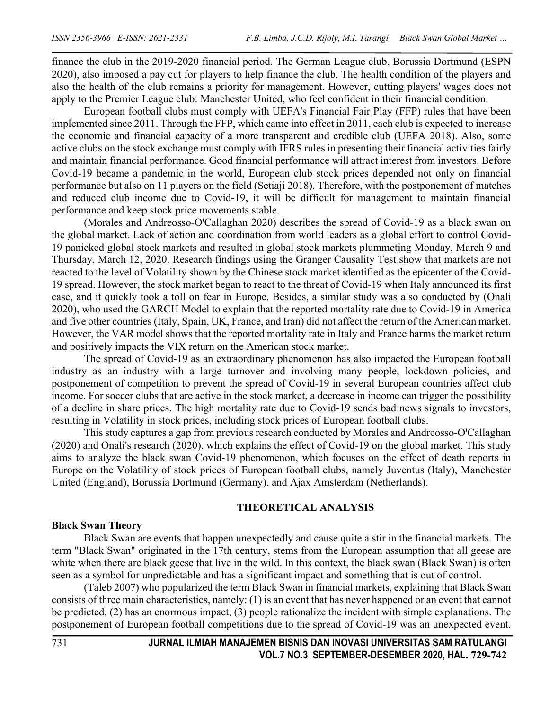finance the club in the 2019-2020 financial period. The German League club, Borussia Dortmund (ESPN 2020), also imposed a pay cut for players to help finance the club. The health condition of the players and also the health of the club remains a priority for management. However, cutting players' wages does not apply to the Premier League club: Manchester United, who feel confident in their financial condition.

European football clubs must comply with UEFA's Financial Fair Play (FFP) rules that have been implemented since 2011. Through the FFP, which came into effect in 2011, each club is expected to increase the economic and financial capacity of a more transparent and credible club (UEFA 2018). Also, some active clubs on the stock exchange must comply with IFRS rules in presenting their financial activities fairly and maintain financial performance. Good financial performance will attract interest from investors. Before Covid-19 became a pandemic in the world, European club stock prices depended not only on financial performance but also on 11 players on the field (Setiaji 2018). Therefore, with the postponement of matches and reduced club income due to Covid-19, it will be difficult for management to maintain financial performance and keep stock price movements stable.

(Morales and Andreosso-O'Callaghan 2020) describes the spread of Covid-19 as a black swan on the global market. Lack of action and coordination from world leaders as a global effort to control Covid-19 panicked global stock markets and resulted in global stock markets plummeting Monday, March 9 and Thursday, March 12, 2020. Research findings using the Granger Causality Test show that markets are not reacted to the level of Volatility shown by the Chinese stock market identified as the epicenter of the Covid-19 spread. However, the stock market began to react to the threat of Covid-19 when Italy announced its first case, and it quickly took a toll on fear in Europe. Besides, a similar study was also conducted by (Onali 2020), who used the GARCH Model to explain that the reported mortality rate due to Covid-19 in America and five other countries (Italy, Spain, UK, France, and Iran) did not affect the return of the American market. However, the VAR model shows that the reported mortality rate in Italy and France harms the market return and positively impacts the VIX return on the American stock market.

The spread of Covid-19 as an extraordinary phenomenon has also impacted the European football industry as an industry with a large turnover and involving many people, lockdown policies, and postponement of competition to prevent the spread of Covid-19 in several European countries affect club income. For soccer clubs that are active in the stock market, a decrease in income can trigger the possibility of a decline in share prices. The high mortality rate due to Covid-19 sends bad news signals to investors, resulting in Volatility in stock prices, including stock prices of European football clubs.

This study captures a gap from previous research conducted by Morales and Andreosso-O'Callaghan (2020) and Onali's research (2020), which explains the effect of Covid-19 on the global market. This study aims to analyze the black swan Covid-19 phenomenon, which focuses on the effect of death reports in Europe on the Volatility of stock prices of European football clubs, namely Juventus (Italy), Manchester United (England), Borussia Dortmund (Germany), and Ajax Amsterdam (Netherlands).

### **THEORETICAL ANALYSIS**

### **Black Swan Theory**

Black Swan are events that happen unexpectedly and cause quite a stir in the financial markets. The term "Black Swan" originated in the 17th century, stems from the European assumption that all geese are white when there are black geese that live in the wild. In this context, the black swan (Black Swan) is often seen as a symbol for unpredictable and has a significant impact and something that is out of control.

(Taleb 2007) who popularized the term Black Swan in financial markets, explaining that Black Swan consists of three main characteristics, namely: (1) is an event that has never happened or an event that cannot be predicted, (2) has an enormous impact, (3) people rationalize the incident with simple explanations. The postponement of European football competitions due to the spread of Covid-19 was an unexpected event.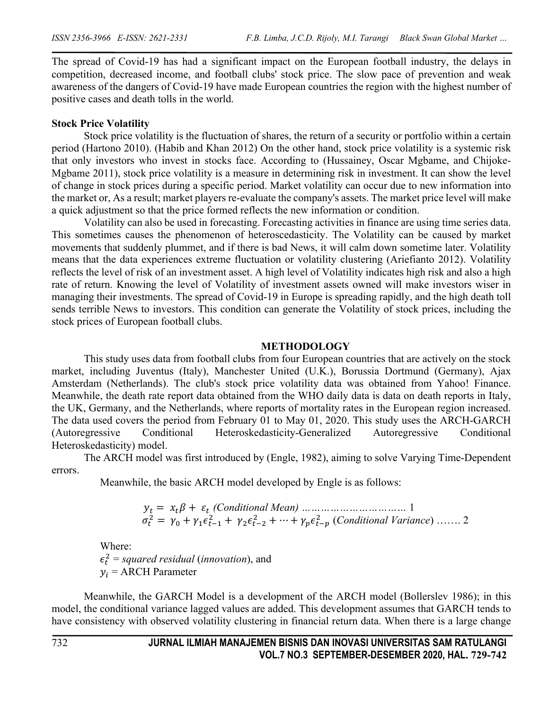The spread of Covid-19 has had a significant impact on the European football industry, the delays in competition, decreased income, and football clubs' stock price. The slow pace of prevention and weak awareness of the dangers of Covid-19 have made European countries the region with the highest number of positive cases and death tolls in the world.

### **Stock Price Volatility**

Stock price volatility is the fluctuation of shares, the return of a security or portfolio within a certain period (Hartono 2010). (Habib and Khan 2012) On the other hand, stock price volatility is a systemic risk that only investors who invest in stocks face. According to (Hussainey, Oscar Mgbame, and Chijoke-Mgbame 2011), stock price volatility is a measure in determining risk in investment. It can show the level of change in stock prices during a specific period. Market volatility can occur due to new information into the market or, As a result; market players re-evaluate the company's assets. The market price level will make a quick adjustment so that the price formed reflects the new information or condition.

Volatility can also be used in forecasting. Forecasting activities in finance are using time series data. This sometimes causes the phenomenon of heteroscedasticity. The Volatility can be caused by market movements that suddenly plummet, and if there is bad News, it will calm down sometime later. Volatility means that the data experiences extreme fluctuation or volatility clustering (Ariefianto 2012). Volatility reflects the level of risk of an investment asset. A high level of Volatility indicates high risk and also a high rate of return. Knowing the level of Volatility of investment assets owned will make investors wiser in managing their investments. The spread of Covid-19 in Europe is spreading rapidly, and the high death toll sends terrible News to investors. This condition can generate the Volatility of stock prices, including the stock prices of European football clubs.

### **METHODOLOGY**

This study uses data from football clubs from four European countries that are actively on the stock market, including Juventus (Italy), Manchester United (U.K.), Borussia Dortmund (Germany), Ajax Amsterdam (Netherlands). The club's stock price volatility data was obtained from Yahoo! Finance. Meanwhile, the death rate report data obtained from the WHO daily data is data on death reports in Italy, the UK, Germany, and the Netherlands, where reports of mortality rates in the European region increased. The data used covers the period from February 01 to May 01, 2020. This study uses the ARCH-GARCH (Autoregressive Conditional Heteroskedasticity-Generalized Autoregressive Conditional Heteroskedasticity) model.

The ARCH model was first introduced by (Engle, 1982), aiming to solve Varying Time-Dependent errors.

Meanwhile, the basic ARCH model developed by Engle is as follows:

" = " + " *(Conditional Mean) ……………………………* 1 " \* = , + -"/- \* + \*"/\* \* + ⋯ + 1"/1 \* (*Conditional Variance*) ……. 2

Where:  $\epsilon_t^2$  = *squared residual* (*innovation*), and  $y_i$  = ARCH Parameter

Meanwhile, the GARCH Model is a development of the ARCH model (Bollerslev 1986); in this model, the conditional variance lagged values are added. This development assumes that GARCH tends to have consistency with observed volatility clustering in financial return data. When there is a large change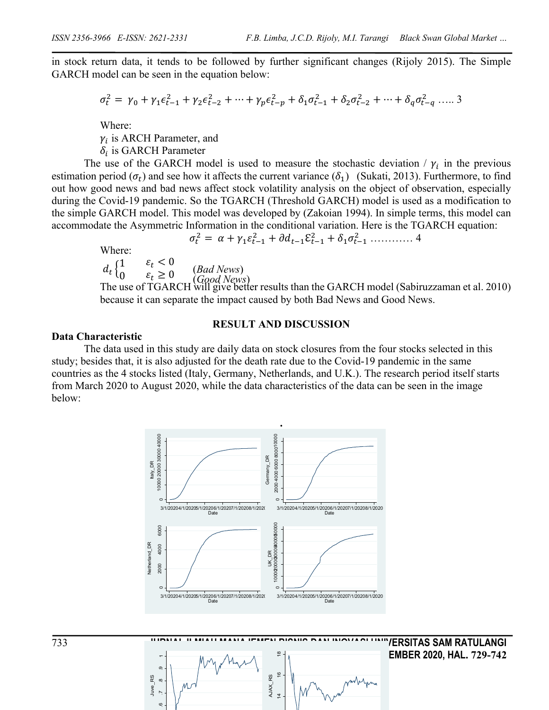in stock return data, it tends to be followed by further significant changes (Rijoly 2015). The Simple GARCH model can be seen in the equation below:

$$
\sigma_t^2 = \gamma_0 + \gamma_1 \epsilon_{t-1}^2 + \gamma_2 \epsilon_{t-2}^2 + \dots + \gamma_p \epsilon_{t-p}^2 + \delta_1 \sigma_{t-1}^2 + \delta_2 \sigma_{t-2}^2 + \dots + \delta_q \sigma_{t-q}^2 \dots
$$

Where:

 $\gamma_i$  is ARCH Parameter, and

 $\delta_i$  is GARCH Parameter

The use of the GARCH model is used to measure the stochastic deviation /  $\gamma_i$  in the previous estimation period ( $\sigma_t$ ) and see how it affects the current variance ( $\delta_1$ ) (Sukati, 2013). Furthermore, to find out how good news and bad news affect stock volatility analysis on the object of observation, especially during the Covid-19 pandemic. So the TGARCH (Threshold GARCH) model is used as a modification to the simple GARCH model. This model was developed by (Zakoian 1994). In simple terms, this model can accommodate the Asymmetric Information in the conditional variation. Here is the TGARCH equation:

" \* = + -"/- \* + "/-ℇ"/- \* + -"/- \* ………… 4

Where:

 $d_t \, \begin{cases} 1 \\ 0 \end{cases}$ 0  $\varepsilon_t \geq 0$  $\varepsilon_t < 0$ (*Bad News*) (*Good News*)

 $\infty$ 

The use of TGARCH will give better results than the GARCH model (Sabiruzzaman et al. 2010) because it can separate the impact caused by both Bad News and Good News.

#### **RESULT AND DISCUSSION**

#### **Data Characteristic**

The data used in this study are daily data on stock closures from the four stocks selected in this study; besides that, it is also adjusted for the death rate due to the Covid-19 pandemic in the same countries as the 4 stocks listed (Italy, Germany, Netherlands, and U.K.). The research period itself starts from March 2020 to August 2020, while the data characteristics of the data can be seen in the image below:

**.**



 **VOL.7 NO.3 SEPTEMBER-DESEMBER 2020, HAL. 729-742**

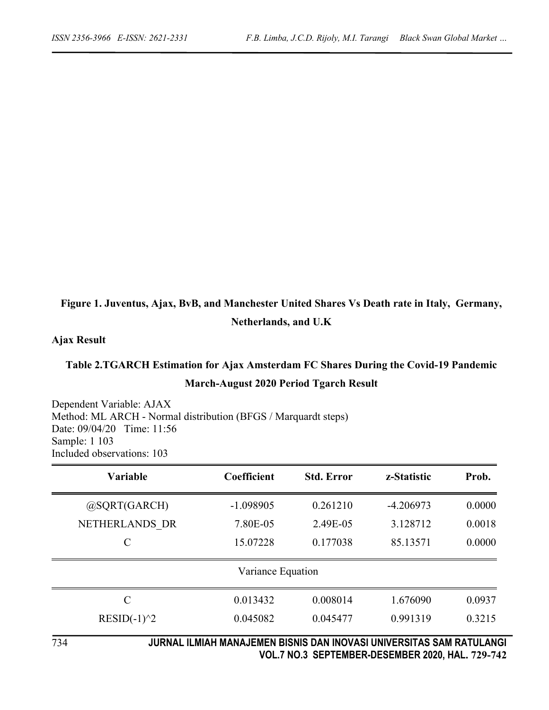# **Figure 1. Juventus, Ajax, BvB, and Manchester United Shares Vs Death rate in Italy, Germany, Netherlands, and U.K**

## **Ajax Result**

# **Table 2.TGARCH Estimation for Ajax Amsterdam FC Shares During the Covid-19 Pandemic March-August 2020 Period Tgarch Result**

Dependent Variable: AJAX Method: ML ARCH - Normal distribution (BFGS / Marquardt steps) Date: 09/04/20 Time: 11:56 Sample: 1 103 Included observations: 103

| <b>Variable</b> | Coefficient       | <b>Std. Error</b> | z-Statistic | Prob.  |
|-----------------|-------------------|-------------------|-------------|--------|
| @SQRT(GARCH)    | $-1.098905$       | 0.261210          | $-4.206973$ | 0.0000 |
| NETHERLANDS DR  | 7.80E-05          | 2.49E-05          | 3.128712    | 0.0018 |
| $\mathcal{C}$   | 15.07228          | 0.177038          | 85.13571    | 0.0000 |
|                 | Variance Equation |                   |             |        |
| C               | 0.013432          | 0.008014          | 1.676090    | 0.0937 |
| $RESID(-1)^2$   | 0.045082          | 0.045477          | 0.991319    | 0.3215 |
|                 |                   |                   |             |        |

734

 **JURNAL ILMIAH MANAJEMEN BISNIS DAN INOVASI UNIVERSITAS SAM RATULANGI VOL.7 NO.3 SEPTEMBER-DESEMBER 2020, HAL. 729-742**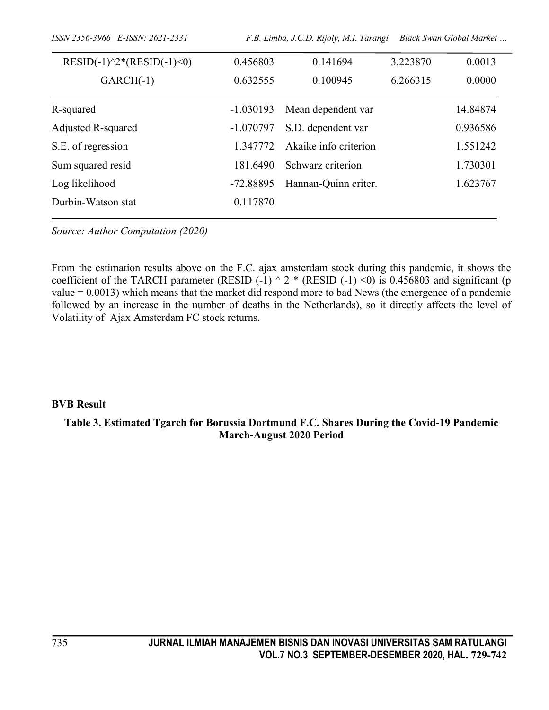| ISSN 2356-3966 E-ISSN: 2621-2331 | F.B. Limba, J.C.D. Rijoly, M.I. Tarangi<br>Black Swan Global Market |                       |          |          |
|----------------------------------|---------------------------------------------------------------------|-----------------------|----------|----------|
| $RESID(-1)^2*(RESID(-1) < 0)$    | 0.456803                                                            | 0.141694              | 3.223870 | 0.0013   |
| $GARCH(-1)$                      | 0.632555                                                            | 0.100945              | 6.266315 | 0.0000   |
| R-squared                        | $-1.030193$                                                         | Mean dependent var    |          | 14.84874 |
| Adjusted R-squared               | $-1.070797$                                                         | S.D. dependent var    |          | 0.936586 |
| S.E. of regression               | 1.347772                                                            | Akaike info criterion |          | 1.551242 |
| Sum squared resid                | 181.6490                                                            | Schwarz criterion     |          | 1.730301 |
| Log likelihood                   | -72.88895                                                           | Hannan-Quinn criter.  |          | 1.623767 |
| Durbin-Watson stat               | 0.117870                                                            |                       |          |          |

*Source: Author Computation (2020)*

From the estimation results above on the F.C. ajax amsterdam stock during this pandemic, it shows the coefficient of the TARCH parameter (RESID  $(-1) \wedge 2$  \* (RESID  $(-1)$  <0) is 0.456803 and significant (p value = 0.0013) which means that the market did respond more to bad News (the emergence of a pandemic followed by an increase in the number of deaths in the Netherlands), so it directly affects the level of Volatility of Ajax Amsterdam FC stock returns.

### **BVB Result**

**Table 3. Estimated Tgarch for Borussia Dortmund F.C. Shares During the Covid-19 Pandemic March-August 2020 Period**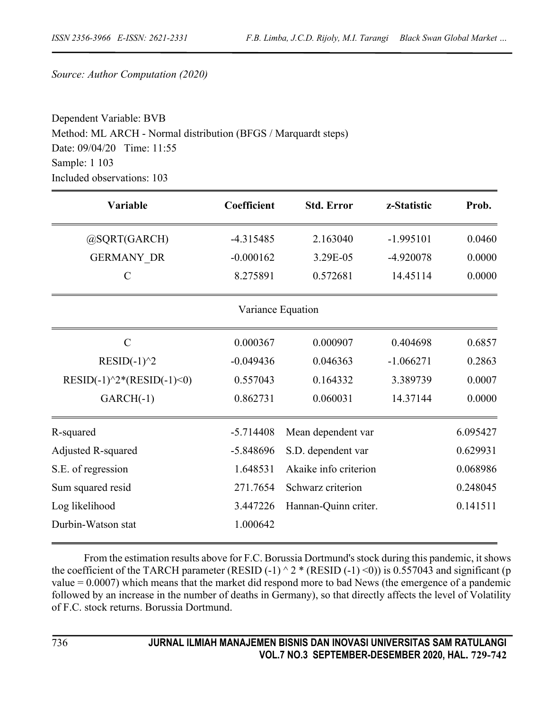*Source: Author Computation (2020)*

Dependent Variable: BVB Method: ML ARCH - Normal distribution (BFGS / Marquardt steps) Date: 09/04/20 Time: 11:55 Sample: 1 103 Included observations: 103

| Variable                      | Coefficient       | <b>Std. Error</b>     | z-Statistic | Prob.    |
|-------------------------------|-------------------|-----------------------|-------------|----------|
| @SQRT(GARCH)                  | $-4.315485$       | 2.163040              | $-1.995101$ | 0.0460   |
| <b>GERMANY_DR</b>             | $-0.000162$       | 3.29E-05              | -4.920078   | 0.0000   |
| $\mathcal{C}$                 | 8.275891          | 0.572681              | 14.45114    | 0.0000   |
|                               | Variance Equation |                       |             |          |
| $\mathcal{C}$                 | 0.000367          | 0.000907              | 0.404698    | 0.6857   |
| $RESID(-1)^2$                 | $-0.049436$       | 0.046363              | $-1.066271$ | 0.2863   |
| $RESID(-1)^2*(RESID(-1) < 0)$ | 0.557043          | 0.164332              | 3.389739    | 0.0007   |
| $GARCH(-1)$                   | 0.862731          | 0.060031              | 14.37144    | 0.0000   |
| R-squared                     | $-5.714408$       | Mean dependent var    |             | 6.095427 |
| Adjusted R-squared            | -5.848696         | S.D. dependent var    |             | 0.629931 |
| S.E. of regression            | 1.648531          | Akaike info criterion |             | 0.068986 |
| Sum squared resid             | 271.7654          | Schwarz criterion     |             | 0.248045 |
| Log likelihood                | 3.447226          | Hannan-Quinn criter.  |             | 0.141511 |
| Durbin-Watson stat            | 1.000642          |                       |             |          |

From the estimation results above for F.C. Borussia Dortmund's stock during this pandemic, it shows the coefficient of the TARCH parameter (RESID (-1)  $\land$  2  $*$  (RESID (-1) <0)) is 0.557043 and significant (p value  $= 0.0007$ ) which means that the market did respond more to bad News (the emergence of a pandemic followed by an increase in the number of deaths in Germany), so that directly affects the level of Volatility of F.C. stock returns. Borussia Dortmund.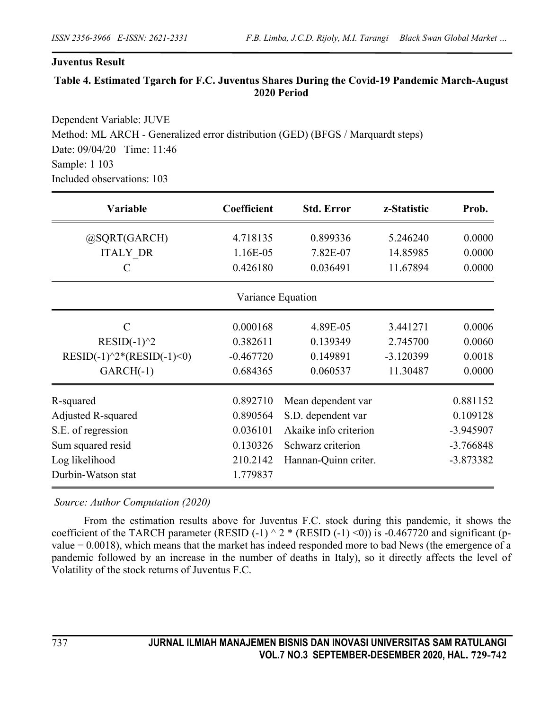### **Juventus Result**

## **Table 4. Estimated Tgarch for F.C. Juventus Shares During the Covid-19 Pandemic March-August 2020 Period**

Dependent Variable: JUVE Method: ML ARCH - Generalized error distribution (GED) (BFGS / Marquardt steps) Date: 09/04/20 Time: 11:46 Sample: 1 103 Included observations: 103

| <b>Variable</b>               | Coefficient       | <b>Std. Error</b>     | z-Statistic | Prob.       |
|-------------------------------|-------------------|-----------------------|-------------|-------------|
| @SQRT(GARCH)                  | 4.718135          | 0.899336              | 5.246240    | 0.0000      |
| <b>ITALY DR</b>               | 1.16E-05          | 7.82E-07              | 14.85985    | 0.0000      |
| C                             | 0.426180          | 0.036491              | 11.67894    | 0.0000      |
|                               | Variance Equation |                       |             |             |
| $\mathcal{C}$                 | 0.000168          | 4.89E-05              | 3.441271    | 0.0006      |
| $RESID(-1)^2$                 | 0.382611          | 0.139349              | 2.745700    | 0.0060      |
| $RESID(-1)^2*(RESID(-1) < 0)$ | $-0.467720$       | 0.149891              | $-3.120399$ | 0.0018      |
| $GARCH(-1)$                   | 0.684365          | 0.060537              | 11.30487    | 0.0000      |
| R-squared                     | 0.892710          | Mean dependent var    |             | 0.881152    |
| Adjusted R-squared            | 0.890564          | S.D. dependent var    |             | 0.109128    |
| S.E. of regression            | 0.036101          | Akaike info criterion |             | -3.945907   |
| Sum squared resid             | 0.130326          | Schwarz criterion     |             | $-3.766848$ |
| Log likelihood                | 210.2142          | Hannan-Quinn criter.  |             | $-3.873382$ |
| Durbin-Watson stat            | 1.779837          |                       |             |             |

*Source: Author Computation (2020)*

From the estimation results above for Juventus F.C. stock during this pandemic, it shows the coefficient of the TARCH parameter (RESID (-1)  $\land$  2  $*$  (RESID (-1) <0)) is -0.467720 and significant (pvalue = 0.0018), which means that the market has indeed responded more to bad News (the emergence of a pandemic followed by an increase in the number of deaths in Italy), so it directly affects the level of Volatility of the stock returns of Juventus F.C.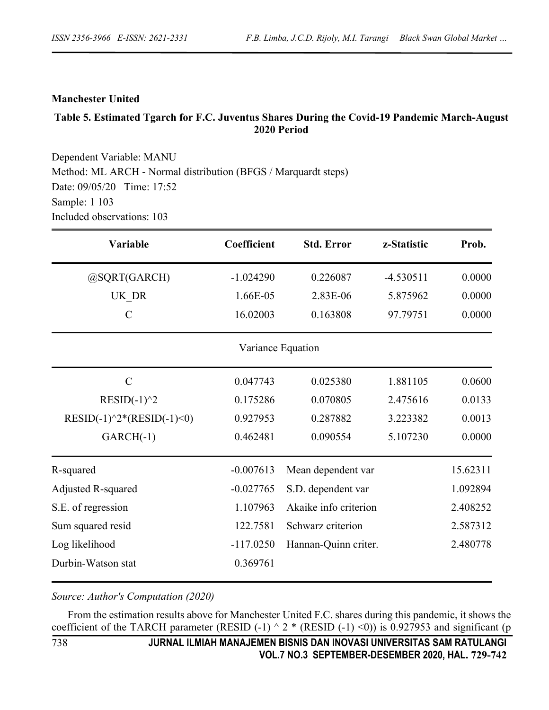### **Manchester United**

### **Table 5. Estimated Tgarch for F.C. Juventus Shares During the Covid-19 Pandemic March-August 2020 Period**

Dependent Variable: MANU Method: ML ARCH - Normal distribution (BFGS / Marquardt steps) Date: 09/05/20 Time: 17:52 Sample: 1 103 Included observations: 103

| Variable                      | Coefficient       | <b>Std. Error</b>     | z-Statistic | Prob.    |
|-------------------------------|-------------------|-----------------------|-------------|----------|
| @SQRT(GARCH)                  | $-1.024290$       | 0.226087              | $-4.530511$ | 0.0000   |
| UK DR                         | 1.66E-05          | 2.83E-06              | 5.875962    | 0.0000   |
| $\mathbf C$                   | 16.02003          | 0.163808              | 97.79751    | 0.0000   |
|                               | Variance Equation |                       |             |          |
| $\mathcal{C}$                 | 0.047743          | 0.025380              | 1.881105    | 0.0600   |
| $RESID(-1)^2$                 | 0.175286          | 0.070805              | 2.475616    | 0.0133   |
| $RESID(-1)^2*(RESID(-1) < 0)$ | 0.927953          | 0.287882              | 3.223382    | 0.0013   |
| $GARCH(-1)$                   | 0.462481          | 0.090554              | 5.107230    | 0.0000   |
| R-squared                     | $-0.007613$       | Mean dependent var    |             | 15.62311 |
| Adjusted R-squared            | $-0.027765$       | S.D. dependent var    |             | 1.092894 |
| S.E. of regression            | 1.107963          | Akaike info criterion |             | 2.408252 |
| Sum squared resid             | 122.7581          | Schwarz criterion     |             | 2.587312 |
| Log likelihood                | $-117.0250$       | Hannan-Quinn criter.  |             | 2.480778 |
| Durbin-Watson stat            | 0.369761          |                       |             |          |

*Source: Author's Computation (2020)*

From the estimation results above for Manchester United F.C. shares during this pandemic, it shows the coefficient of the TARCH parameter (RESID  $(-1) \wedge 2$  \* (RESID  $(-1)$  <0)) is 0.927953 and significant (p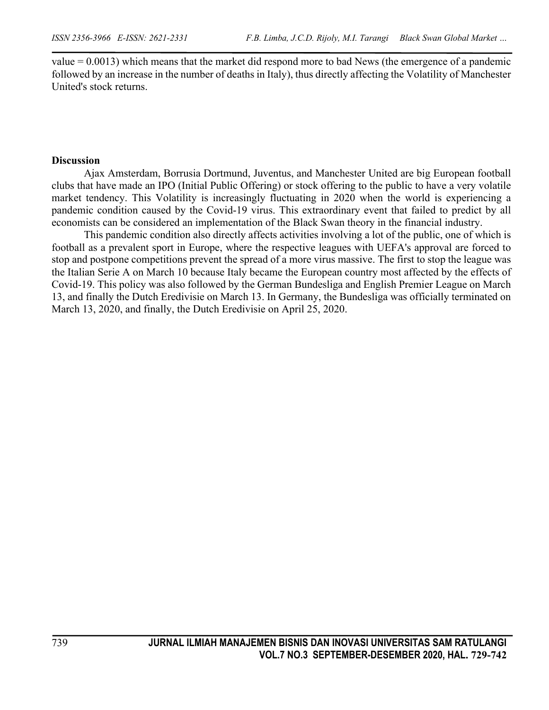value = 0.0013) which means that the market did respond more to bad News (the emergence of a pandemic followed by an increase in the number of deaths in Italy), thus directly affecting the Volatility of Manchester United's stock returns.

### **Discussion**

Ajax Amsterdam, Borrusia Dortmund, Juventus, and Manchester United are big European football clubs that have made an IPO (Initial Public Offering) or stock offering to the public to have a very volatile market tendency. This Volatility is increasingly fluctuating in 2020 when the world is experiencing a pandemic condition caused by the Covid-19 virus. This extraordinary event that failed to predict by all economists can be considered an implementation of the Black Swan theory in the financial industry.

This pandemic condition also directly affects activities involving a lot of the public, one of which is football as a prevalent sport in Europe, where the respective leagues with UEFA's approval are forced to stop and postpone competitions prevent the spread of a more virus massive. The first to stop the league was the Italian Serie A on March 10 because Italy became the European country most affected by the effects of Covid-19. This policy was also followed by the German Bundesliga and English Premier League on March 13, and finally the Dutch Eredivisie on March 13. In Germany, the Bundesliga was officially terminated on March 13, 2020, and finally, the Dutch Eredivisie on April 25, 2020.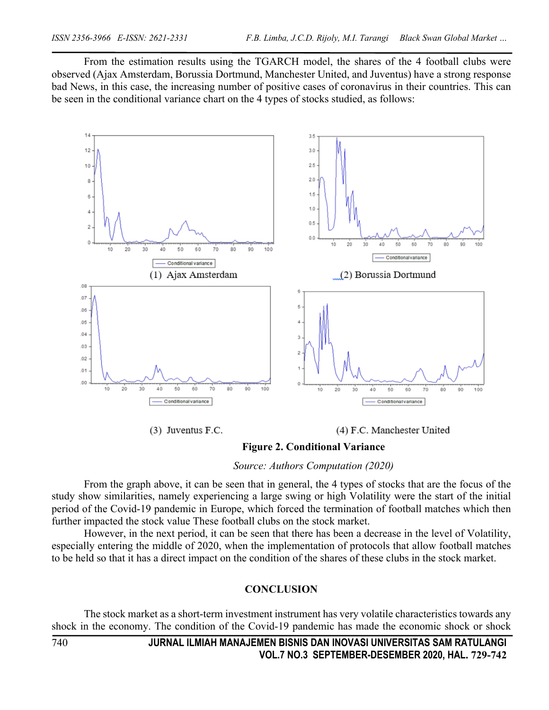From the estimation results using the TGARCH model, the shares of the 4 football clubs were observed (Ajax Amsterdam, Borussia Dortmund, Manchester United, and Juventus) have a strong response bad News, in this case, the increasing number of positive cases of coronavirus in their countries. This can be seen in the conditional variance chart on the 4 types of stocks studied, as follows:



**Figure 2. Conditional Variance**

*Source: Authors Computation (2020)*

From the graph above, it can be seen that in general, the 4 types of stocks that are the focus of the study show similarities, namely experiencing a large swing or high Volatility were the start of the initial period of the Covid-19 pandemic in Europe, which forced the termination of football matches which then further impacted the stock value These football clubs on the stock market.

However, in the next period, it can be seen that there has been a decrease in the level of Volatility, especially entering the middle of 2020, when the implementation of protocols that allow football matches to be held so that it has a direct impact on the condition of the shares of these clubs in the stock market.

## **CONCLUSION**

The stock market as a short-term investment instrument has very volatile characteristics towards any shock in the economy. The condition of the Covid-19 pandemic has made the economic shock or shock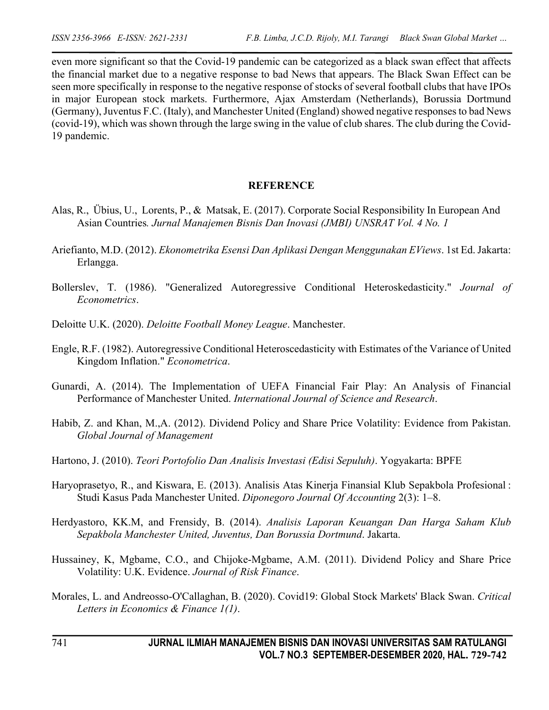even more significant so that the Covid-19 pandemic can be categorized as a black swan effect that affects the financial market due to a negative response to bad News that appears. The Black Swan Effect can be seen more specifically in response to the negative response of stocks of several football clubs that have IPOs in major European stock markets. Furthermore, Ajax Amsterdam (Netherlands), Borussia Dortmund (Germany), Juventus F.C. (Italy), and Manchester United (England) showed negative responsesto bad News (covid-19), which was shown through the large swing in the value of club shares. The club during the Covid-19 pandemic.

### **REFERENCE**

- Alas, R., Übius, U., Lorents, P., & Matsak, E. (2017). Corporate Social Responsibility In European And Asian Countries*. Jurnal Manajemen Bisnis Dan Inovasi (JMBI) UNSRAT Vol. 4 No. 1*
- Ariefianto, M.D. (2012). *Ekonometrika Esensi Dan Aplikasi Dengan Menggunakan EViews*. 1st Ed. Jakarta: Erlangga.
- Bollerslev, T. (1986). "Generalized Autoregressive Conditional Heteroskedasticity." *Journal of Econometrics*.
- Deloitte U.K. (2020). *Deloitte Football Money League*. Manchester.
- Engle, R.F. (1982). Autoregressive Conditional Heteroscedasticity with Estimates of the Variance of United Kingdom Inflation." *Econometrica*.
- Gunardi, A. (2014). The Implementation of UEFA Financial Fair Play: An Analysis of Financial Performance of Manchester United. *International Journal of Science and Research*.
- Habib, Z. and Khan, M.,A. (2012). Dividend Policy and Share Price Volatility: Evidence from Pakistan. *Global Journal of Management*
- Hartono, J. (2010). *Teori Portofolio Dan Analisis Investasi (Edisi Sepuluh)*. Yogyakarta: BPFE
- Haryoprasetyo, R., and Kiswara, E. (2013). Analisis Atas Kinerja Finansial Klub Sepakbola Profesional : Studi Kasus Pada Manchester United. *Diponegoro Journal Of Accounting* 2(3): 1–8.
- Herdyastoro, KK.M, and Frensidy, B. (2014). *Analisis Laporan Keuangan Dan Harga Saham Klub Sepakbola Manchester United, Juventus, Dan Borussia Dortmund*. Jakarta.
- Hussainey, K, Mgbame, C.O., and Chijoke-Mgbame, A.M. (2011). Dividend Policy and Share Price Volatility: U.K. Evidence. *Journal of Risk Finance*.
- Morales, L. and Andreosso-O'Callaghan, B. (2020). Covid19: Global Stock Markets' Black Swan. *Critical Letters in Economics & Finance 1(1)*.